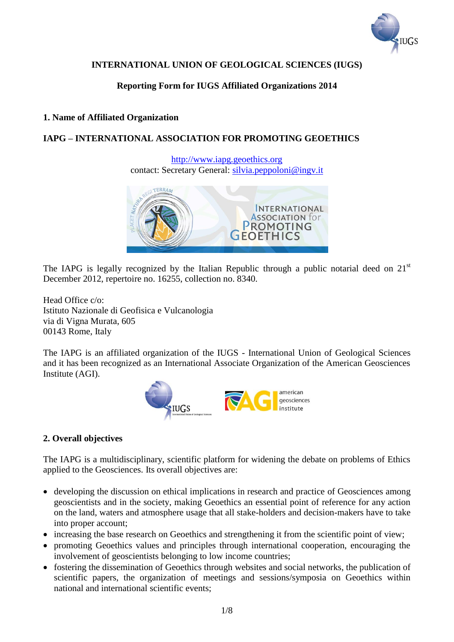

# **INTERNATIONAL UNION OF GEOLOGICAL SCIENCES (IUGS)**

# **Reporting Form for IUGS Affiliated Organizations 2014**

# **1. Name of Affiliated Organization**

# **IAPG – INTERNATIONAL ASSOCIATION FOR PROMOTING GEOETHICS**

[http://www.iapg.geoethics.org](http://www.iapg.geoethics.org/) contact: Secretary General: [silvia.peppoloni@ingv.it](mailto:silvia.peppoloni@ingv.it)



The IAPG is legally recognized by the Italian Republic through a public notarial deed on  $21<sup>st</sup>$ December 2012, repertoire no. 16255, collection no. 8340.

Head Office c/o: Istituto Nazionale di Geofisica e Vulcanologia via di Vigna Murata, 605 00143 Rome, Italy

The IAPG is an affiliated organization of the IUGS - International Union of Geological Sciences and it has been recognized as an International Associate Organization of the American Geosciences Institute (AGI).



# **2. Overall objectives**

The IAPG is a multidisciplinary, scientific platform for widening the debate on problems of Ethics applied to the Geosciences. Its overall objectives are:

- developing the discussion on ethical implications in research and practice of Geosciences among geoscientists and in the society, making Geoethics an essential point of reference for any action on the land, waters and atmosphere usage that all stake-holders and decision-makers have to take into proper account;
- increasing the base research on Geoethics and strengthening it from the scientific point of view;
- promoting Geoethics values and principles through international cooperation, encouraging the involvement of geoscientists belonging to low income countries;
- fostering the dissemination of Geoethics through websites and social networks, the publication of scientific papers, the organization of meetings and sessions/symposia on Geoethics within national and international scientific events;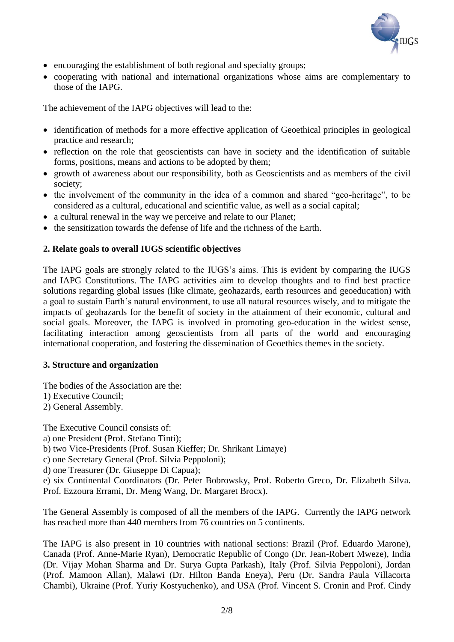

- encouraging the establishment of both regional and specialty groups;
- cooperating with national and international organizations whose aims are complementary to those of the IAPG.

The achievement of the IAPG objectives will lead to the:

- identification of methods for a more effective application of Geoethical principles in geological practice and research;
- reflection on the role that geoscientists can have in society and the identification of suitable forms, positions, means and actions to be adopted by them;
- growth of awareness about our responsibility, both as Geoscientists and as members of the civil society;
- the involvement of the community in the idea of a common and shared "geo-heritage", to be considered as a cultural, educational and scientific value, as well as a social capital;
- a cultural renewal in the way we perceive and relate to our Planet:
- the sensitization towards the defense of life and the richness of the Earth.

### **2. Relate goals to overall IUGS scientific objectives**

The IAPG goals are strongly related to the IUGS's aims. This is evident by comparing the IUGS and IAPG Constitutions. The IAPG activities aim to develop thoughts and to find best practice solutions regarding global issues (like climate, geohazards, earth resources and geoeducation) with a goal to sustain Earth's natural environment, to use all natural resources wisely, and to mitigate the impacts of geohazards for the benefit of society in the attainment of their economic, cultural and social goals. Moreover, the IAPG is involved in promoting geo-education in the widest sense, facilitating interaction among geoscientists from all parts of the world and encouraging international cooperation, and fostering the dissemination of Geoethics themes in the society.

#### **3. Structure and organization**

The bodies of the Association are the:

- 1) Executive Council;
- 2) General Assembly.

The Executive Council consists of:

a) one President (Prof. Stefano Tinti);

b) two Vice-Presidents (Prof. Susan Kieffer; Dr. Shrikant Limaye)

c) one Secretary General (Prof. Silvia Peppoloni);

d) one Treasurer (Dr. Giuseppe Di Capua);

e) six Continental Coordinators (Dr. Peter Bobrowsky, Prof. Roberto Greco, Dr. Elizabeth Silva. Prof. Ezzoura Errami, Dr. Meng Wang, Dr. Margaret Brocx).

The General Assembly is composed of all the members of the IAPG. Currently the IAPG network has reached more than 440 members from 76 countries on 5 continents.

The IAPG is also present in 10 countries with national sections: Brazil (Prof. Eduardo Marone), Canada (Prof. Anne-Marie Ryan), Democratic Republic of Congo (Dr. Jean-Robert Mweze), India (Dr. Vijay Mohan Sharma and Dr. Surya Gupta Parkash), Italy (Prof. Silvia Peppoloni), Jordan (Prof. Mamoon Allan), Malawi (Dr. Hilton Banda Eneya), Peru (Dr. Sandra Paula Villacorta Chambi), Ukraine (Prof. Yuriy Kostyuchenko), and USA (Prof. Vincent S. Cronin and Prof. Cindy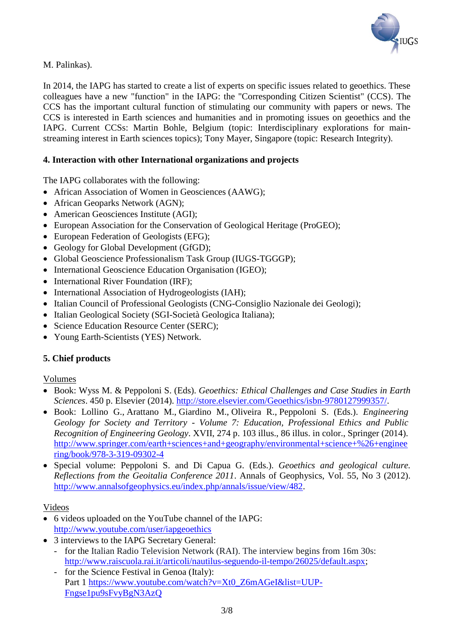

M. Palinkas).

In 2014, the IAPG has started to create a list of experts on specific issues related to geoethics. These colleagues have a new "function" in the IAPG: the "Corresponding Citizen Scientist" (CCS). The CCS has the important cultural function of stimulating our community with papers or news. The CCS is interested in Earth sciences and humanities and in promoting issues on geoethics and the IAPG. Current CCSs: Martin Bohle, Belgium (topic: Interdisciplinary explorations for mainstreaming interest in Earth sciences topics); Tony Mayer, Singapore (topic: Research Integrity).

### **4. Interaction with other International organizations and projects**

The IAPG collaborates with the following:

- African Association of Women in Geosciences (AAWG);
- African Geoparks Network (AGN);
- American Geosciences Institute (AGI);
- European Association for the Conservation of Geological Heritage (ProGEO);
- European Federation of Geologists (EFG);
- Geology for Global Development (GfGD);
- Global Geoscience Professionalism Task Group (IUGS-TGGGP);
- International Geoscience Education Organisation (IGEO);
- International River Foundation (IRF);
- International Association of Hydrogeologists (IAH);
- Italian Council of Professional Geologists (CNG-Consiglio Nazionale dei Geologi);
- Italian Geological Society (SGI-Società Geologica Italiana);
- Science Education Resource Center (SERC);
- Young Earth-Scientists (YES) Network.

#### **5. Chief products**

#### Volumes

- Book: Wyss M. & Peppoloni S. (Eds). *Geoethics: Ethical Challenges and Case Studies in Earth Sciences*. 450 p. Elsevier (2014). [http://store.elsevier.com/Geoethics/isbn-9780127999357/.](http://store.elsevier.com/Geoethics/isbn-9780127999357/)
- Book: Lollino G., Arattano M., Giardino M., Oliveira R., Peppoloni S. (Eds.). *Engineering Geology for Society and Territory - Volume 7: Education, Professional Ethics and Public Recognition of Engineering Geology*. XVII, 274 p. 103 illus., 86 illus. in color., Springer (2014). [http://www.springer.com/earth+sciences+and+geography/environmental+science+%26+enginee](http://www.springer.com/earth+sciences+and+geography/environmental+science+%26+engineering/book/978-3-319-09302-4) [ring/book/978-3-319-09302-4](http://www.springer.com/earth+sciences+and+geography/environmental+science+%26+engineering/book/978-3-319-09302-4)
- Special volume: Peppoloni S. and Di Capua G. (Eds.). *Geoethics and geological culture. Reflections from the Geoitalia Conference 2011*. Annals of Geophysics, Vol. 55, No 3 (2012). [http://www.annalsofgeophysics.eu/index.php/annals/issue/view/482.](http://www.annalsofgeophysics.eu/index.php/annals/issue/view/482)

#### Videos

- 6 videos uploaded on the YouTube channel of the IAPG: <http://www.youtube.com/user/iapgeoethics>
- 3 interviews to the IAPG Secretary General:
	- for the Italian Radio Television Network (RAI). The interview begins from 16m 30s: [http://www.raiscuola.rai.it/articoli/nautilus-seguendo-il-tempo/26025/default.aspx;](http://www.raiscuola.rai.it/articoli/nautilus-seguendo-il-tempo/26025/default.aspx)
	- for the Science Festival in Genoa (Italy): Part 1 [https://www.youtube.com/watch?v=Xt0\\_Z6mAGeI&list=UUP-](https://www.youtube.com/watch?v=Xt0_Z6mAGeI&list=UUP-Fngse1pu9sFvyBgN3AzQ)[Fngse1pu9sFvyBgN3AzQ](https://www.youtube.com/watch?v=Xt0_Z6mAGeI&list=UUP-Fngse1pu9sFvyBgN3AzQ)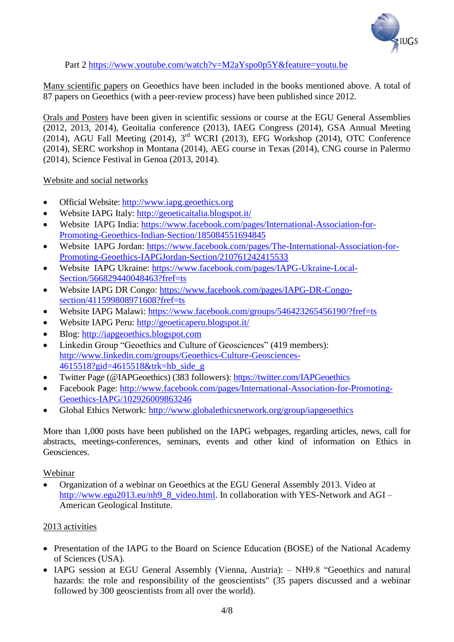

Part 2<https://www.youtube.com/watch?v=M2aYspo0p5Y&feature=youtu.be>

Many scientific papers on Geoethics have been included in the books mentioned above. A total of 87 papers on Geoethics (with a peer-review process) have been published since 2012.

Orals and Posters have been given in scientific sessions or course at the EGU General Assemblies (2012, 2013, 2014), Geoitalia conference (2013), IAEG Congress (2014), GSA Annual Meeting (2014), AGU Fall Meeting (2014), 3rd WCRI (2013), EFG Workshop (2014), OTC Conference (2014), SERC workshop in Montana (2014), AEG course in Texas (2014), CNG course in Palermo (2014), Science Festival in Genoa (2013, 2014).

Website and social networks

- Official Website: [http://www.iapg.geoethics.org](http://www.iapg.geoethics.org/)
- Website IAPG Italy:<http://geoeticaitalia.blogspot.it/>
- Website IAPG India: [https://www.facebook.com/pages/International-Association-for-](https://www.facebook.com/pages/International-Association-for-Promoting-Geoethics-Indian-Section/185084551694845)[Promoting-Geoethics-Indian-Section/185084551694845](https://www.facebook.com/pages/International-Association-for-Promoting-Geoethics-Indian-Section/185084551694845)
- Website IAPG Jordan: [https://www.facebook.com/pages/The-International-Association-for-](https://www.facebook.com/pages/The-International-Association-for-Promoting-Geoethics-IAPGJordan-Section/210761242415533)[Promoting-Geoethics-IAPGJordan-Section/210761242415533](https://www.facebook.com/pages/The-International-Association-for-Promoting-Geoethics-IAPGJordan-Section/210761242415533)
- Website IAPG Ukraine: [https://www.facebook.com/pages/IAPG-Ukraine-Local-](https://www.facebook.com/pages/IAPG-Ukraine-Local-Section/566829440048463?fref=ts)[Section/566829440048463?fref=ts](https://www.facebook.com/pages/IAPG-Ukraine-Local-Section/566829440048463?fref=ts)
- Website IAPG DR Congo: [https://www.facebook.com/pages/IAPG-DR-Congo](https://www.facebook.com/pages/IAPG-DR-Congo-section/411599808971608?fref=ts)[section/411599808971608?fref=ts](https://www.facebook.com/pages/IAPG-DR-Congo-section/411599808971608?fref=ts)
- Website IAPG Malawi:<https://www.facebook.com/groups/546423265456190/?fref=ts>
- Website IAPG Peru:<http://geoeticaperu.blogspot.it/>
- Blog: [http://iapgeoethics.blogspot.com](http://iapgeoethics.blogspot.com/)
- Linkedin Group "Geoethics and Culture of Geosciences" (419 members): [http://www.linkedin.com/groups/Geoethics-Culture-Geosciences-](http://www.linkedin.com/groups/Geoethics-Culture-Geosciences-4615518?gid=4615518&trk=hb_side_g)[4615518?gid=4615518&trk=hb\\_side\\_g](http://www.linkedin.com/groups/Geoethics-Culture-Geosciences-4615518?gid=4615518&trk=hb_side_g)
- Twitter Page (@IAPGeoethics) (383 followers):<https://twitter.com/IAPGeoethics>
- Facebook Page: [http://www.facebook.com/pages/International-Association-for-Promoting-](http://www.facebook.com/pages/International-Association-for-Promoting-Geoethics-IAPG/102926009863246)[Geoethics-IAPG/102926009863246](http://www.facebook.com/pages/International-Association-for-Promoting-Geoethics-IAPG/102926009863246)
- Global Ethics Network:<http://www.globalethicsnetwork.org/group/iapgeoethics>

More than 1,000 posts have been published on the IAPG webpages, regarding articles, news, call for abstracts, meetings-conferences, seminars, events and other kind of information on Ethics in Geosciences.

#### Webinar

 Organization of a webinar on Geoethics at the EGU General Assembly 2013. Video at [http://www.egu2013.eu/nh9\\_8\\_video.html.](http://www.egu2013.eu/nh9_8_video.html) In collaboration with YES-Network and AGI – American Geological Institute.

# 2013 activities

- Presentation of the IAPG to the Board on Science Education (BOSE) of the National Academy of Sciences (USA).
- IAPG session at EGU General Assembly (Vienna, Austria): NH9.8 ["Geoethics and natural](http://meetingorganizer.copernicus.org/EGU2013/session/11853)  [hazards: the role and responsibility of the geoscientists"](http://meetingorganizer.copernicus.org/EGU2013/session/11853) (35 papers discussed and a webinar followed by 300 geoscientists from all over the world).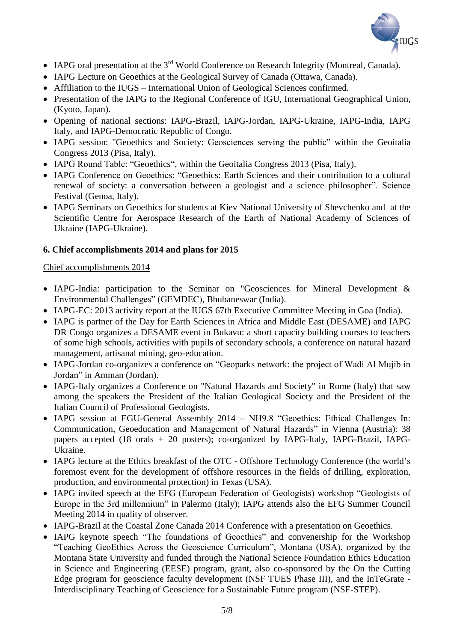

- IAPG oral presentation at the 3<sup>rd</sup> World Conference on Research Integrity (Montreal, Canada).
- IAPG Lecture on Geoethics at the Geological Survey of Canada (Ottawa, Canada).
- Affiliation to the IUGS International Union of Geological Sciences confirmed.
- Presentation of the IAPG to the Regional Conference of IGU, International Geographical Union, (Kyoto, Japan).
- Opening of national sections: IAPG-Brazil, IAPG-Jordan, IAPG-Ukraine, IAPG-India, IAPG Italy, and IAPG-Democratic Republic of Congo.
- IAPG session: "Geoethics and Society: Geosciences serving the public" within the Geoitalia Congress 2013 (Pisa, Italy).
- IAPG Round Table: "Geoethics", within the Geoitalia Congress 2013 (Pisa, Italy).
- IAPG Conference on Geoethics: "Geoethics: Earth Sciences and their contribution to a cultural renewal of society: a conversation between a geologist and a science philosopher". Science Festival (Genoa, Italy).
- IAPG Seminars on Geoethics for students at Kiev National University of Shevchenko and at the Scientific Centre for Aerospace Research of the Earth of National Academy of Sciences of Ukraine (IAPG-Ukraine).

# **6. Chief accomplishments 2014 and plans for 2015**

# Chief accomplishments 2014

- IAPG-India: participation to the Seminar on "Geosciences for Mineral Development & Environmental Challenges" (GEMDEC), Bhubaneswar (India).
- IAPG-EC: 2013 activity report at the IUGS 67th Executive Committee Meeting in Goa (India).
- IAPG is partner of the Day for Earth Sciences in Africa and Middle East (DESAME) and IAPG DR Congo organizes a DESAME event in Bukavu: a short capacity building courses to teachers of some high schools, activities with pupils of secondary schools, a conference on natural hazard management, artisanal mining, geo-education.
- IAPG-Jordan co-organizes a conference on "Geoparks network: the project of Wadi Al Mujib in Jordan" in Amman (Jordan).
- IAPG-Italy organizes a Conference on "Natural Hazards and Society" in Rome (Italy) that saw among the speakers the President of the Italian Geological Society and the President of the Italian Council of Professional Geologists.
- IAPG session at EGU-General Assembly 2014 NH9.8 "Geoethics: Ethical Challenges In: Communication, Geoeducation and Management of Natural Hazards" in Vienna (Austria): 38 papers accepted (18 orals + 20 posters); co-organized by IAPG-Italy, IAPG-Brazil, IAPG-Ukraine.
- IAPG lecture at the Ethics breakfast of the OTC Offshore Technology Conference (the world's foremost event for the development of offshore resources in the fields of drilling, exploration, production, and environmental protection) in Texas (USA).
- IAPG invited speech at the EFG (European Federation of Geologists) workshop "Geologists of Europe in the 3rd millennium" in Palermo (Italy); IAPG attends also the EFG Summer Council Meeting 2014 in quality of observer.
- IAPG-Brazil at the Coastal Zone Canada 2014 Conference with a presentation on Geoethics.
- IAPG keynote speech "The foundations of Geoethics" and convenership for the Workshop "Teaching GeoEthics Across the Geoscience Curriculum", Montana (USA), organized by the Montana State University and funded through the National Science Foundation Ethics Education in Science and Engineering (EESE) program, grant, also co-sponsored by the On the Cutting Edge program for geoscience faculty development (NSF TUES Phase III), and the InTeGrate - Interdisciplinary Teaching of Geoscience for a Sustainable Future program (NSF-STEP).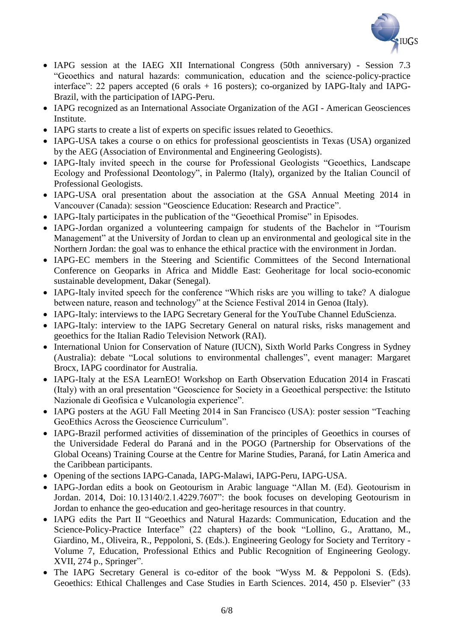

- IAPG session at the IAEG XII International Congress (50th anniversary) Session 7.3 "Geoethics and natural hazards: communication, education and the science-policy-practice interface": 22 papers accepted (6 orals + 16 posters); co-organized by IAPG-Italy and IAPG-Brazil, with the participation of IAPG-Peru.
- IAPG recognized as an International Associate Organization of the AGI American Geosciences Institute.
- IAPG starts to create a list of experts on specific issues related to Geoethics.
- IAPG-USA takes a course o on ethics for professional geoscientists in Texas (USA) organized by the AEG (Association of Environmental and Engineering Geologists).
- IAPG-Italy invited speech in the course for Professional Geologists "Geoethics, Landscape Ecology and Professional Deontology", in Palermo (Italy), organized by the Italian Council of Professional Geologists.
- IAPG-USA oral presentation about the association at the GSA Annual Meeting 2014 in Vancouver (Canada): session "Geoscience Education: Research and Practice".
- IAPG-Italy participates in the publication of the "Geoethical Promise" in Episodes.
- IAPG-Jordan organized a volunteering campaign for students of the Bachelor in "Tourism Management" at the University of Jordan to clean up an environmental and geological site in the Northern Jordan: the goal was to enhance the ethical practice with the environment in Jordan.
- IAPG-EC members in the Steering and Scientific Committees of the Second International Conference on Geoparks in Africa and Middle East: Geoheritage for local socio-economic sustainable development, Dakar (Senegal).
- IAPG-Italy invited speech for the conference "Which risks are you willing to take? A dialogue between nature, reason and technology" at the Science Festival 2014 in Genoa (Italy).
- IAPG-Italy: interviews to the IAPG Secretary General for the YouTube Channel EduScienza.
- IAPG-Italy: interview to the IAPG Secretary General on natural risks, risks management and geoethics for the Italian Radio Television Network (RAI).
- International Union for Conservation of Nature (IUCN), Sixth World Parks Congress in Sydney (Australia): debate "Local solutions to environmental challenges", event manager: Margaret Brocx, IAPG coordinator for Australia.
- IAPG-Italy at the ESA LearnEO! Workshop on Earth Observation Education 2014 in Frascati (Italy) with an oral presentation "Geoscience for Society in a Geoethical perspective: the Istituto Nazionale di Geofisica e Vulcanologia experience".
- IAPG posters at the AGU Fall Meeting 2014 in San Francisco (USA): poster session "Teaching GeoEthics Across the Geoscience Curriculum".
- IAPG-Brazil performed activities of dissemination of the principles of Geoethics in courses of the [Universidade Federal do Paraná](http://www.ufpr.br/) and in the POGO (Partnership for Observations of the Global Oceans) Training Course at the Centre for Marine Studies, Paraná, for Latin America and the Caribbean participants.
- Opening of the sections IAPG-Canada, IAPG-Malawi, IAPG-Peru, IAPG-USA.
- IAPG-Jordan edits a book on Geotourism in Arabic language "Allan M. (Ed). Geotourism in Jordan. 2014, Doi: 10.13140/2.1.4229.7607": the book focuses on developing Geotourism in Jordan to enhance the geo-education and geo-heritage resources in that country.
- IAPG edits the Part II "Geoethics and Natural Hazards: Communication, Education and the Science-Policy-Practice Interface" (22 chapters) of the book "Lollino, G., Arattano, M., Giardino, M., Oliveira, R., Peppoloni, S. (Eds.). Engineering Geology for Society and Territory - Volume 7, Education, Professional Ethics and Public Recognition of Engineering Geology. XVII, 274 p., Springer".
- The IAPG Secretary General is co-editor of the book "Wyss M. & Peppoloni S. (Eds). Geoethics: Ethical Challenges and Case Studies in Earth Sciences. 2014, 450 p. Elsevier" (33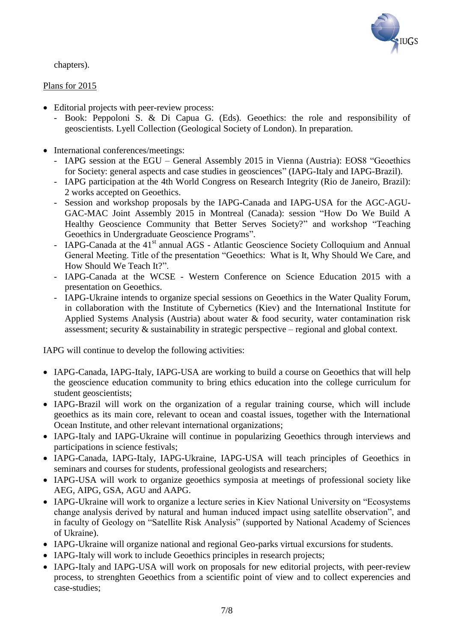

chapters).

# Plans for 2015

- Editorial projects with peer-review process:
	- Book: Peppoloni S. & Di Capua G. (Eds). Geoethics: the role and responsibility of geoscientists. Lyell Collection (Geological Society of London). In preparation.
- International conferences/meetings:
	- IAPG session at the EGU General Assembly 2015 in Vienna (Austria): EOS8 "Geoethics for Society: general aspects and case studies in geosciences" (IAPG-Italy and IAPG-Brazil).
	- IAPG participation at the 4th World Congress on Research Integrity (Rio de Janeiro, Brazil): 2 works accepted on Geoethics.
	- Session and workshop proposals by the IAPG-Canada and IAPG-USA for the AGC-AGU-GAC-MAC Joint Assembly 2015 in Montreal (Canada): session "How Do We Build A Healthy Geoscience Community that Better Serves Society?" and workshop "Teaching Geoethics in Undergraduate Geoscience Programs".
	- IAPG-Canada at the 41<sup>st</sup> annual AGS Atlantic Geoscience Society Colloquium and Annual General Meeting. Title of the presentation "Geoethics: What is It, Why Should We Care, and How Should We Teach It?".
	- IAPG-Canada at the WCSE Western Conference on Science Education 2015 with a presentation on Geoethics.
	- IAPG-Ukraine intends to organize special sessions on Geoethics in the Water Quality Forum, in collaboration with the Institute of Cybernetics (Kiev) and the International Institute for Applied Systems Analysis (Austria) about water & food security, water contamination risk assessment; security & sustainability in strategic perspective – regional and global context.

IAPG will continue to develop the following activities:

- IAPG-Canada, IAPG-Italy, IAPG-USA are working to build a course on Geoethics that will help the geoscience education community to bring ethics education into the college curriculum for student geoscientists;
- IAPG-Brazil will work on the organization of a regular training course, which will include geoethics as its main core, relevant to ocean and coastal issues, together with the International Ocean Institute, and other relevant international organizations;
- IAPG-Italy and IAPG-Ukraine will continue in popularizing Geoethics through interviews and participations in science festivals;
- IAPG-Canada, IAPG-Italy, IAPG-Ukraine, IAPG-USA will teach principles of Geoethics in seminars and courses for students, professional geologists and researchers;
- IAPG-USA will work to organize geoethics symposia at meetings of professional society like AEG, AIPG, GSA, AGU and AAPG.
- IAPG-Ukraine will work to organize a lecture series in Kiev National University on "Ecosystems change analysis derived by natural and human induced impact using satellite observation", and in faculty of Geology on "Satellite Risk Analysis" (supported by National Academy of Sciences of Ukraine).
- IAPG-Ukraine will organize national and regional Geo-parks virtual excursions for students.
- IAPG-Italy will work to include Geoethics principles in research projects;
- IAPG-Italy and IAPG-USA will work on proposals for new editorial projects, with peer-review process, to strenghten Geoethics from a scientific point of view and to collect experencies and case-studies;